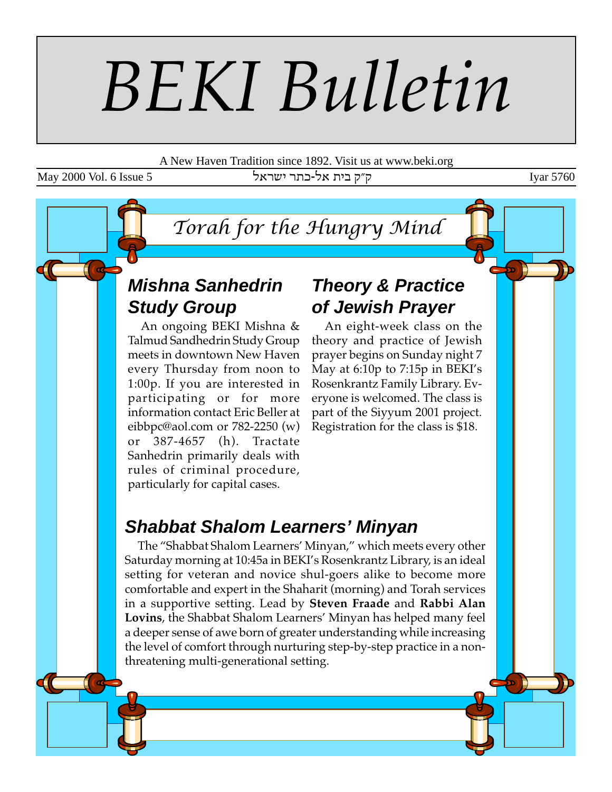# *BEKI Bulletin*

A New Haven Tradition since 1892. Visit us at www.beki.org

May 2000 Vol. 6 Issue 5 ktrah ק״ק בית אל-כתר ישראל

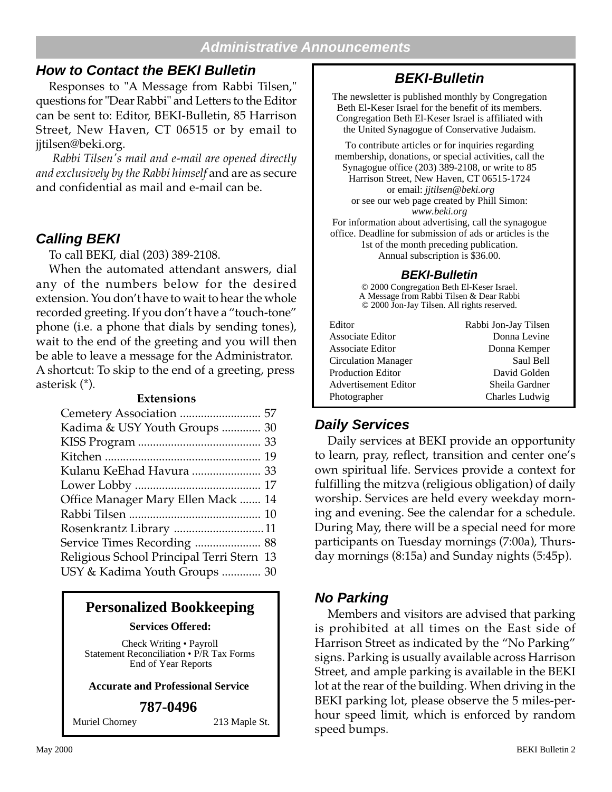#### **Administrative Announcements**

#### **How to Contact the BEKI Bulletin**

Responses to "A Message from Rabbi Tilsen," questions for "Dear Rabbi" and Letters to the Editor can be sent to: Editor, BEKI-Bulletin, 85 Harrison Street, New Haven, CT 06515 or by email to jjtilsen@beki.org.

 *Rabbi Tilsen's mail and e-mail are opened directly and exclusively by the Rabbi himself* and are as secure and confidential as mail and e-mail can be.

#### **Calling BEKI**

To call BEKI, dial (203) 389-2108.

When the automated attendant answers, dial any of the numbers below for the desired extension. You don't have to wait to hear the whole recorded greeting. If you don't have a "touch-tone" phone (i.e. a phone that dials by sending tones), wait to the end of the greeting and you will then be able to leave a message for the Administrator. A shortcut: To skip to the end of a greeting, press asterisk (\*).

#### **Extensions**

| Kadima & USY Youth Groups  30             |
|-------------------------------------------|
|                                           |
|                                           |
| Kulanu KeEhad Havura  33                  |
|                                           |
| Office Manager Mary Ellen Mack  14        |
|                                           |
| Rosenkrantz Library 11                    |
| Service Times Recording  88               |
| Religious School Principal Terri Stern 13 |
| USY & Kadima Youth Groups  30             |
|                                           |

#### **Personalized Bookkeeping**

**Services Offered:**

Check Writing • Payroll Statement Reconciliation • P/R Tax Forms End of Year Reports

#### **Accurate and Professional Service**

#### **787-0496**

Muriel Chorney 213 Maple St.

### **BEKI-Bulletin**

The newsletter is published monthly by Congregation Beth El-Keser Israel for the benefit of its members. Congregation Beth El-Keser Israel is affiliated with the United Synagogue of Conservative Judaism.

To contribute articles or for inquiries regarding membership, donations, or special activities, call the Synagogue office (203) 389-2108, or write to 85 Harrison Street, New Haven, CT 06515-1724 or email: *jjtilsen@beki.org* or see our web page created by Phill Simon: *www.beki.org* For information about advertising, call the synagogue

office. Deadline for submission of ads or articles is the 1st of the month preceding publication. Annual subscription is \$36.00.

#### **BEKI-Bulletin**

© 2000 Congregation Beth El-Keser Israel. A Message from Rabbi Tilsen & Dear Rabbi © 2000 Jon-Jay Tilsen. All rights reserved.

| Editor                     | Rabbi Jon-Jay Tilsen |
|----------------------------|----------------------|
| Associate Editor           | Donna Levine         |
| Associate Editor           | Donna Kemper         |
| <b>Circulation Manager</b> | Saul Bell            |
| <b>Production Editor</b>   | David Golden         |
| Advertisement Editor       | Sheila Gardner       |
| Photographer               | Charles Ludwig       |

#### **Daily Services**

Daily services at BEKI provide an opportunity to learn, pray, reflect, transition and center one's own spiritual life. Services provide a context for fulfilling the mitzva (religious obligation) of daily worship. Services are held every weekday morning and evening. See the calendar for a schedule. During May, there will be a special need for more participants on Tuesday mornings (7:00a), Thursday mornings (8:15a) and Sunday nights (5:45p).

#### **No Parking**

Members and visitors are advised that parking is prohibited at all times on the East side of Harrison Street as indicated by the "No Parking" signs. Parking is usually available across Harrison Street, and ample parking is available in the BEKI lot at the rear of the building. When driving in the BEKI parking lot, please observe the 5 miles-perhour speed limit, which is enforced by random speed bumps.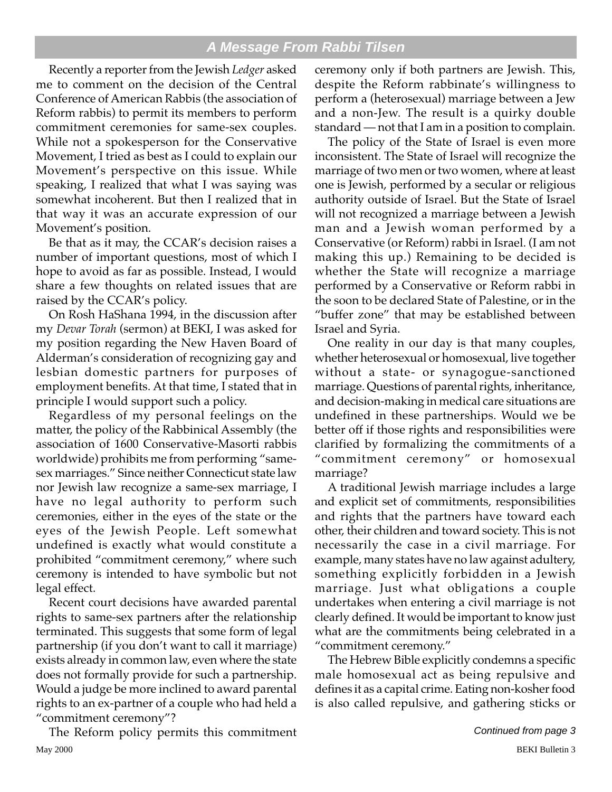#### **A Message From Rabbi Tilsen**

Recently a reporter from the Jewish *Ledger* asked me to comment on the decision of the Central Conference of American Rabbis (the association of Reform rabbis) to permit its members to perform commitment ceremonies for same-sex couples. While not a spokesperson for the Conservative Movement, I tried as best as I could to explain our Movement's perspective on this issue. While speaking, I realized that what I was saying was somewhat incoherent. But then I realized that in that way it was an accurate expression of our Movement's position.

Be that as it may, the CCAR's decision raises a number of important questions, most of which I hope to avoid as far as possible. Instead, I would share a few thoughts on related issues that are raised by the CCAR's policy.

On Rosh HaShana 1994, in the discussion after my *Devar Torah* (sermon) at BEKI, I was asked for my position regarding the New Haven Board of Alderman's consideration of recognizing gay and lesbian domestic partners for purposes of employment benefits. At that time, I stated that in principle I would support such a policy.

Regardless of my personal feelings on the matter, the policy of the Rabbinical Assembly (the association of 1600 Conservative-Masorti rabbis worldwide) prohibits me from performing "samesex marriages." Since neither Connecticut state law nor Jewish law recognize a same-sex marriage, I have no legal authority to perform such ceremonies, either in the eyes of the state or the eyes of the Jewish People. Left somewhat undefined is exactly what would constitute a prohibited "commitment ceremony," where such ceremony is intended to have symbolic but not legal effect.

Recent court decisions have awarded parental rights to same-sex partners after the relationship terminated. This suggests that some form of legal partnership (if you don't want to call it marriage) exists already in common law, even where the state does not formally provide for such a partnership. Would a judge be more inclined to award parental rights to an ex-partner of a couple who had held a "commitment ceremony"?

May 2000 BEKI Bulletin 3 The Reform policy permits this commitment

ceremony only if both partners are Jewish. This, despite the Reform rabbinate's willingness to perform a (heterosexual) marriage between a Jew and a non-Jew. The result is a quirky double standard — not that I am in a position to complain.

The policy of the State of Israel is even more inconsistent. The State of Israel will recognize the marriage of two men or two women, where at least one is Jewish, performed by a secular or religious authority outside of Israel. But the State of Israel will not recognized a marriage between a Jewish man and a Jewish woman performed by a Conservative (or Reform) rabbi in Israel. (I am not making this up.) Remaining to be decided is whether the State will recognize a marriage performed by a Conservative or Reform rabbi in the soon to be declared State of Palestine, or in the "buffer zone" that may be established between Israel and Syria.

One reality in our day is that many couples, whether heterosexual or homosexual, live together without a state- or synagogue-sanctioned marriage. Questions of parental rights, inheritance, and decision-making in medical care situations are undefined in these partnerships. Would we be better off if those rights and responsibilities were clarified by formalizing the commitments of a "commitment ceremony" or homosexual marriage?

A traditional Jewish marriage includes a large and explicit set of commitments, responsibilities and rights that the partners have toward each other, their children and toward society. This is not necessarily the case in a civil marriage. For example, many states have no law against adultery, something explicitly forbidden in a Jewish marriage. Just what obligations a couple undertakes when entering a civil marriage is not clearly defined. It would be important to know just what are the commitments being celebrated in a "commitment ceremony."

The Hebrew Bible explicitly condemns a specific male homosexual act as being repulsive and defines it as a capital crime. Eating non-kosher food is also called repulsive, and gathering sticks or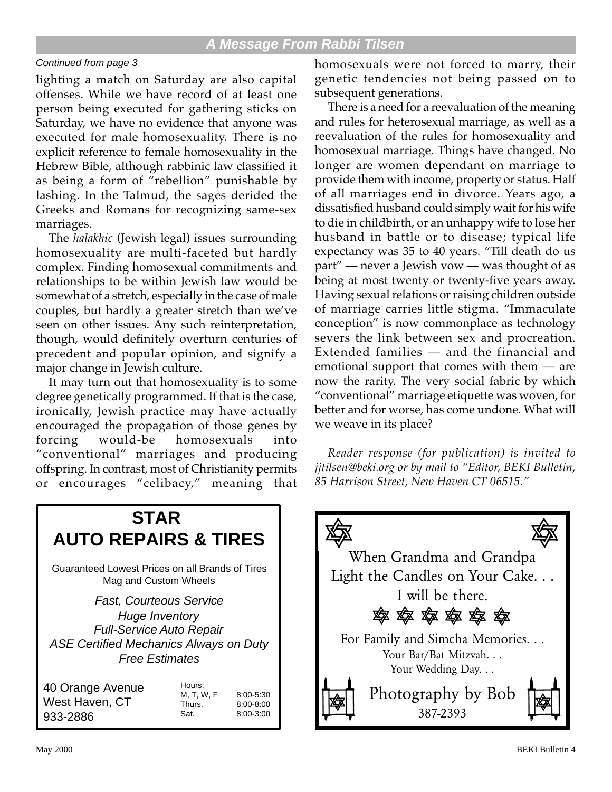#### **A Message From Rabbi Tilsen**

#### Continued from page 3

lighting a match on Saturday are also capital offenses. While we have record of at least one person being executed for gathering sticks on Saturday, we have no evidence that anyone was executed for male homosexuality. There is no explicit reference to female homosexuality in the Hebrew Bible, although rabbinic law classified it as being a form of "rebellion" punishable by lashing. In the Talmud, the sages derided the Greeks and Romans for recognizing same-sex marriages.

The *halakhic* (Jewish legal) issues surrounding homosexuality are multi-faceted but hardly complex. Finding homosexual commitments and relationships to be within Jewish law would be somewhat of a stretch, especially in the case of male couples, but hardly a greater stretch than we've seen on other issues. Any such reinterpretation, though, would definitely overturn centuries of precedent and popular opinion, and signify a major change in Jewish culture.

It may turn out that homosexuality is to some degree genetically programmed. If that is the case, ironically, Jewish practice may have actually encouraged the propagation of those genes by forcing would-be homosexuals into "conventional" marriages and producing offspring. In contrast, most of Christianity permits or encourages "celibacy," meaning that

homosexuals were not forced to marry, their genetic tendencies not being passed on to subsequent generations.

There is a need for a reevaluation of the meaning and rules for heterosexual marriage, as well as a reevaluation of the rules for homosexuality and homosexual marriage. Things have changed. No longer are women dependant on marriage to provide them with income, property or status. Half of all marriages end in divorce. Years ago, a dissatisfied husband could simply wait for his wife to die in childbirth, or an unhappy wife to lose her husband in battle or to disease; typical life expectancy was 35 to 40 years. "Till death do us part" — never a Jewish vow — was thought of as being at most twenty or twenty-five years away. Having sexual relations or raising children outside of marriage carries little stigma. "Immaculate conception" is now commonplace as technology severs the link between sex and procreation. Extended families — and the financial and emotional support that comes with them — are now the rarity. The very social fabric by which "conventional" marriage etiquette was woven, for better and for worse, has come undone. What will we weave in its place?

*Reader response (for publication) is invited to jjtilsen@beki.org or by mail to "Editor, BEKI Bulletin, 85 Harrison Street, New Haven CT 06515."*



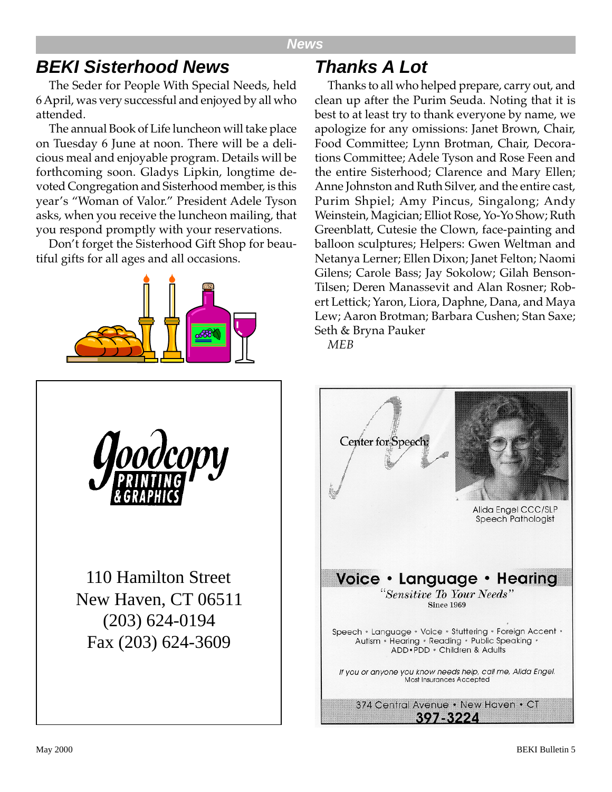#### **News**

## **BEKI Sisterhood News**

The Seder for People With Special Needs, held 6 April, was very successful and enjoyed by all who attended.

The annual Book of Life luncheon will take place on Tuesday 6 June at noon. There will be a delicious meal and enjoyable program. Details will be forthcoming soon. Gladys Lipkin, longtime devoted Congregation and Sisterhood member, is this year's "Woman of Valor." President Adele Tyson asks, when you receive the luncheon mailing, that you respond promptly with your reservations.

Don't forget the Sisterhood Gift Shop for beautiful gifts for all ages and all occasions.



## **Thanks A Lot**

Thanks to all who helped prepare, carry out, and clean up after the Purim Seuda. Noting that it is best to at least try to thank everyone by name, we apologize for any omissions: Janet Brown, Chair, Food Committee; Lynn Brotman, Chair, Decorations Committee; Adele Tyson and Rose Feen and the entire Sisterhood; Clarence and Mary Ellen; Anne Johnston and Ruth Silver, and the entire cast, Purim Shpiel; Amy Pincus, Singalong; Andy Weinstein, Magician; Elliot Rose, Yo-Yo Show; Ruth Greenblatt, Cutesie the Clown, face-painting and balloon sculptures; Helpers: Gwen Weltman and Netanya Lerner; Ellen Dixon; Janet Felton; Naomi Gilens; Carole Bass; Jay Sokolow; Gilah Benson-Tilsen; Deren Manassevit and Alan Rosner; Robert Lettick; Yaron, Liora, Daphne, Dana, and Maya Lew; Aaron Brotman; Barbara Cushen; Stan Saxe; Seth & Bryna Pauker

*MEB*



110 Hamilton Street New Haven, CT 06511 (203) 624-0194 Fax (203) 624-3609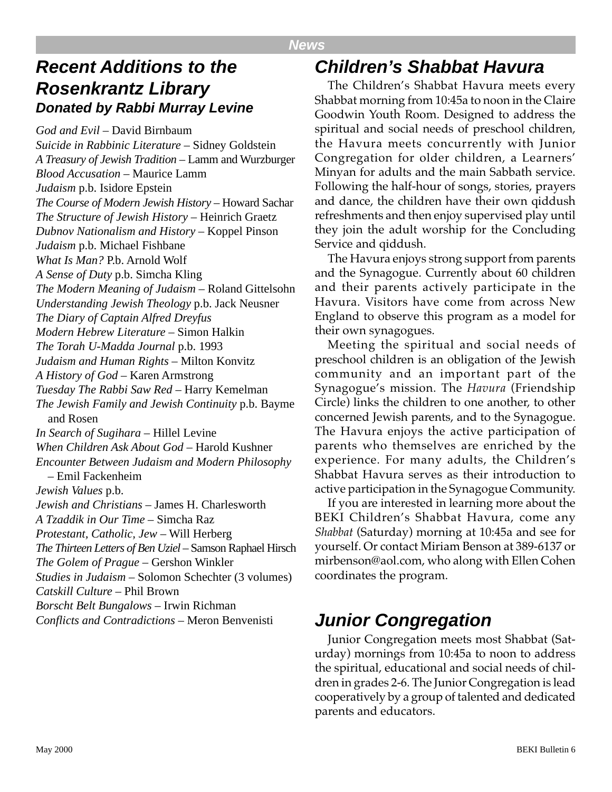#### **News**

## **Recent Additions to the Rosenkrantz Library Donated by Rabbi Murray Levine**

*God and Evil* – David Birnbaum *Suicide in Rabbinic Literature* – Sidney Goldstein *A Treasury of Jewish Tradition* – Lamm and Wurzburger *Blood Accusation* – Maurice Lamm *Judaism* p.b. Isidore Epstein *The Course of Modern Jewish History* – Howard Sachar *The Structure of Jewish History* – Heinrich Graetz *Dubnov Nationalism and History* – Koppel Pinson *Judaism* p.b. Michael Fishbane *What Is Man?* P.b. Arnold Wolf *A Sense of Duty* p.b. Simcha Kling *The Modern Meaning of Judaism* – Roland Gittelsohn *Understanding Jewish Theology* p.b. Jack Neusner *The Diary of Captain Alfred Dreyfus Modern Hebrew Literature* – Simon Halkin *The Torah U-Madda Journal* p.b. 1993 *Judaism and Human Rights* – Milton Konvitz *A History of God* – Karen Armstrong *Tuesday The Rabbi Saw Red* – Harry Kemelman *The Jewish Family and Jewish Continuity* p.b. Bayme and Rosen *In Search of Sugihara* – Hillel Levine *When Children Ask About God* – Harold Kushner *Encounter Between Judaism and Modern Philosophy* – Emil Fackenheim *Jewish Values* p.b. *Jewish and Christians* – James H. Charlesworth *A Tzaddik in Our Time* – Simcha Raz *Protestant, Catholic, Jew* – Will Herberg *The Thirteen Letters of Ben Uziel* – Samson Raphael Hirsch *The Golem of Prague* – Gershon Winkler *Studies in Judaism* – Solomon Schechter (3 volumes) *Catskill Culture* – Phil Brown *Borscht Belt Bungalows* – Irwin Richman *Conflicts and Contradictions* – Meron Benvenisti **Junior Congregation**

## **Children's Shabbat Havura**

The Children's Shabbat Havura meets every Shabbat morning from 10:45a to noon in the Claire Goodwin Youth Room. Designed to address the spiritual and social needs of preschool children, the Havura meets concurrently with Junior Congregation for older children, a Learners' Minyan for adults and the main Sabbath service. Following the half-hour of songs, stories, prayers and dance, the children have their own qiddush refreshments and then enjoy supervised play until they join the adult worship for the Concluding Service and qiddush.

The Havura enjoys strong support from parents and the Synagogue. Currently about 60 children and their parents actively participate in the Havura. Visitors have come from across New England to observe this program as a model for their own synagogues.

Meeting the spiritual and social needs of preschool children is an obligation of the Jewish community and an important part of the Synagogue's mission. The *Havura* (Friendship Circle) links the children to one another, to other concerned Jewish parents, and to the Synagogue. The Havura enjoys the active participation of parents who themselves are enriched by the experience. For many adults, the Children's Shabbat Havura serves as their introduction to active participation in the Synagogue Community.

If you are interested in learning more about the BEKI Children's Shabbat Havura, come any *Shabbat* (Saturday) morning at 10:45a and see for yourself. Or contact Miriam Benson at 389-6137 or mirbenson@aol.com, who along with Ellen Cohen coordinates the program.

Junior Congregation meets most Shabbat (Saturday) mornings from 10:45a to noon to address the spiritual, educational and social needs of children in grades 2-6. The Junior Congregation is lead cooperatively by a group of talented and dedicated parents and educators.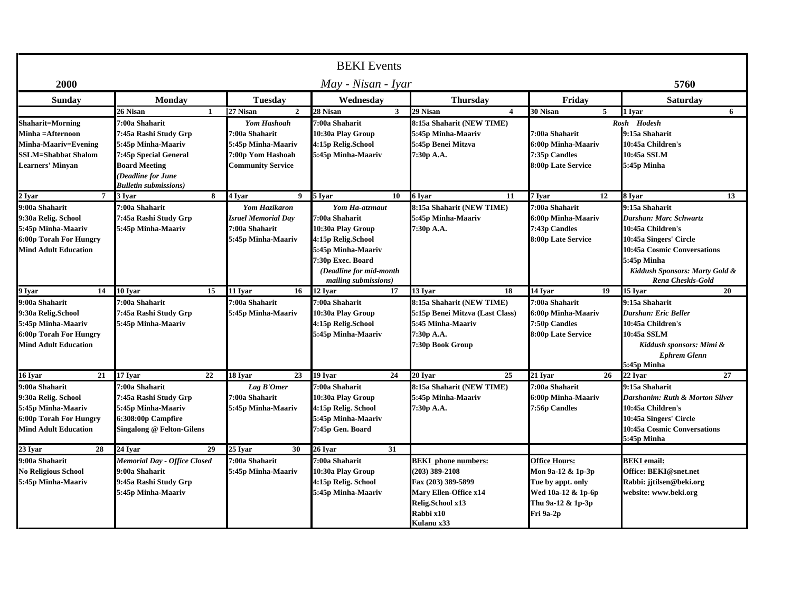| <b>BEKI</b> Events                                                                                                                  |                                                                                                                                                                       |                                                                                                            |                                                                                                                                                                           |                                                                                                                                           |                                                                                                                        |                                                                                                                                                                                                     |  |  |
|-------------------------------------------------------------------------------------------------------------------------------------|-----------------------------------------------------------------------------------------------------------------------------------------------------------------------|------------------------------------------------------------------------------------------------------------|---------------------------------------------------------------------------------------------------------------------------------------------------------------------------|-------------------------------------------------------------------------------------------------------------------------------------------|------------------------------------------------------------------------------------------------------------------------|-----------------------------------------------------------------------------------------------------------------------------------------------------------------------------------------------------|--|--|
| 2000                                                                                                                                | May - Nisan - Ivar                                                                                                                                                    |                                                                                                            |                                                                                                                                                                           |                                                                                                                                           |                                                                                                                        | 5760                                                                                                                                                                                                |  |  |
| <b>Sunday</b>                                                                                                                       | Monday                                                                                                                                                                | <b>Tuesday</b>                                                                                             | Wednesday                                                                                                                                                                 | <b>Thursday</b>                                                                                                                           | Friday                                                                                                                 | <b>Saturday</b>                                                                                                                                                                                     |  |  |
|                                                                                                                                     | <b>26 Nisan</b><br>$\mathbf{1}$                                                                                                                                       | 27 Nisan<br>$\overline{2}$                                                                                 | 28 Nisan<br>3 <sup>1</sup>                                                                                                                                                | 29 Nisan<br>$\boldsymbol{4}$                                                                                                              | 30 Nisan<br>5                                                                                                          | 1 Ivar<br>6                                                                                                                                                                                         |  |  |
| <b>Shaharit=Morning</b><br>Minha =Afternoon<br><b>Minha-Maariv=Evening</b><br><b>SSLM=Shabbat Shalom</b><br><b>Learners' Minyan</b> | 7:00a Shaharit<br>7:45a Rashi Study Grp<br>5:45p Minha-Maariv<br>7:45p Special General<br><b>Board Meeting</b><br>(Deadline for June<br><b>Bulletin submissions</b> ) | <b>Yom Hashoah</b><br>:00a Shaharit<br>5:45p Minha-Maariv<br>7:00p Yom Hashoah<br><b>Community Service</b> | 7:00a Shaharit<br>10:30a Play Group<br>4:15p Relig.School<br>5:45p Minha-Maariv                                                                                           | 8:15a Shaharit (NEW TIME)<br>5:45p Minha-Maariv<br>5:45p Benei Mitzva<br>7:30p A.A.                                                       | 7:00a Shaharit<br>6:00p Minha-Maariv<br>7:35p Candles<br>8:00p Late Service                                            | Rosh Hodesh<br>9:15a Shaharit<br>10:45a Children's<br>10:45a SSLM<br>5:45p Minha                                                                                                                    |  |  |
| 2 Iyar<br>7 <sup>7</sup>                                                                                                            | 3 Ivar<br>8                                                                                                                                                           | 4 Iyar<br>$\mathbf{Q}$                                                                                     | 5 Iyar<br>10                                                                                                                                                              | 6 Ivar<br>11                                                                                                                              | 7 Iyar<br>12                                                                                                           | 8 Ivar<br>13                                                                                                                                                                                        |  |  |
| 9:00a Shaharit<br>9:30a Relig. School<br>5:45p Minha-Maariv<br>6:00p Torah For Hungry<br><b>Mind Adult Education</b>                | 7:00a Shaharit<br>7:45a Rashi Study Grp<br>5:45p Minha-Maariv                                                                                                         | <b>Yom Hazikaron</b><br>Israel Memorial Day<br>7:00a Shaharit<br>5:45p Minha-Maariv                        | Yom Ha-atzmaut<br>7:00a Shaharit<br>10:30a Play Group<br>4:15p Relig.School<br>5:45p Minha-Maariv<br>7:30p Exec. Board<br>(Deadline for mid-month<br>mailing submissions) | 8:15a Shaharit (NEW TIME)<br>5:45p Minha-Maariv<br>7:30p A.A.                                                                             | 7:00a Shaharit<br>6:00p Minha-Maariv<br>7:43p Candles<br>8:00p Late Service                                            | 9:15a Shaharit<br>Darshan: Marc Schwartz<br>10:45a Children's<br>10:45a Singers' Circle<br><b>10:45a Cosmic Conversations</b><br>5:45p Minha<br>Kiddush Sponsors: Marty Gold &<br>Rena Cheskis-Gold |  |  |
| 9 Ivar<br>14                                                                                                                        | 10 Ivar<br>15                                                                                                                                                         | 11 Iyar<br>16                                                                                              | 12 Ivar<br>17                                                                                                                                                             | 13 Ivar<br>18                                                                                                                             | 14 Ivar<br>19                                                                                                          | 15 Ivar<br>20                                                                                                                                                                                       |  |  |
| 9:00a Shaharit<br>9:30a Relig.School<br>5:45p Minha-Maariv<br><b>6:00p Torah For Hungry</b><br><b>Mind Adult Education</b>          | 7:00a Shaharit<br>7:45a Rashi Study Grp<br>5:45p Minha-Maariv                                                                                                         | 7:00a Shaharit<br>5:45p Minha-Maariv                                                                       | 7:00a Shaharit<br>10:30a Play Group<br>4:15p Relig.School<br>5:45p Minha-Maariv                                                                                           | 8:15a Shaharit (NEW TIME)<br>5:15p Benei Mitzva (Last Class)<br>5:45 Minha-Maariv<br>7:30p A.A.<br>7:30p Book Group                       | 7:00a Shaharit<br>6:00p Minha-Maariv<br>7:50p Candles<br>8:00p Late Service                                            | 9:15a Shaharit<br>Darshan: Eric Beller<br>10:45a Children's<br>10:45a SSLM<br>Kiddush sponsors: Mimi &<br><b>Ephrem Glenn</b><br>5:45p Minha                                                        |  |  |
| 21<br>16 Iyar                                                                                                                       | 17 Ivar<br>22                                                                                                                                                         | 18 Ivar<br>23                                                                                              | 19 Ivar<br>24                                                                                                                                                             | 20 Ivar<br>25                                                                                                                             | 21 Ivar<br>26                                                                                                          | 22 Ivar<br>27                                                                                                                                                                                       |  |  |
| 9:00a Shaharit<br>9:30a Relig. School<br>5:45p Minha-Maariv<br>6:00p Torah For Hungry<br><b>Mind Adult Education</b>                | 7:00a Shaharit<br>7:45a Rashi Study Grp<br>5:45p Minha-Maariv<br>6:308:00p Campfire<br><b>Singalong @ Felton-Gilens</b>                                               | Lag B'Omer<br>7:00a Shaharit<br>5:45p Minha-Maariv                                                         | 7:00a Shaharit<br>10:30a Play Group<br>4:15p Relig. School<br>5:45p Minha-Maariv<br>7:45p Gen. Board                                                                      | 8:15a Shaharit (NEW TIME)<br>5:45p Minha-Maariv<br>7:30p A.A.                                                                             | 7:00a Shaharit<br>6:00p Minha-Maariv<br>7:56p Candles                                                                  | 9:15a Shaharit<br>Darshanim: Ruth & Morton Silver<br>10:45a Children's<br>10:45a Singers' Circle<br>10:45a Cosmic Conversations<br>5:45p Minha                                                      |  |  |
| 23 Ivar<br>28                                                                                                                       | 24 Iyar<br>29                                                                                                                                                         | 25 Ivar<br>30                                                                                              | 26 Ivar<br>31                                                                                                                                                             |                                                                                                                                           |                                                                                                                        |                                                                                                                                                                                                     |  |  |
| 9:00a Shaharit<br><b>No Religious School</b><br>5:45p Minha-Maariv                                                                  | <b>Memorial Day - Office Closed</b><br>9:00a Shaharit<br>9:45a Rashi Study Grp<br>5:45p Minha-Maariv                                                                  | 7:00a Shaharit<br>5:45p Minha-Maariv                                                                       | 7:00a Shaharit<br>10:30a Play Group<br>4:15p Relig. School<br>5:45p Minha-Maariv                                                                                          | <b>BEKI</b> phone numbers:<br>203) 389-2108<br>Fax (203) 389-5899<br>Mary Ellen-Office x14<br>Relig.School x13<br>Rabbi x10<br>Kulanu x33 | <b>Office Hours:</b><br>Mon 9a-12 & 1p-3p<br>Tue by appt. only<br>Wed 10a-12 & 1p-6p<br>Thu 9a-12 & 1p-3p<br>Fri 9a-2p | <b>BEKI</b> email:<br>Office: BEKI@snet.net<br>Rabbi: jitilsen@beki.org<br>website: www.beki.org                                                                                                    |  |  |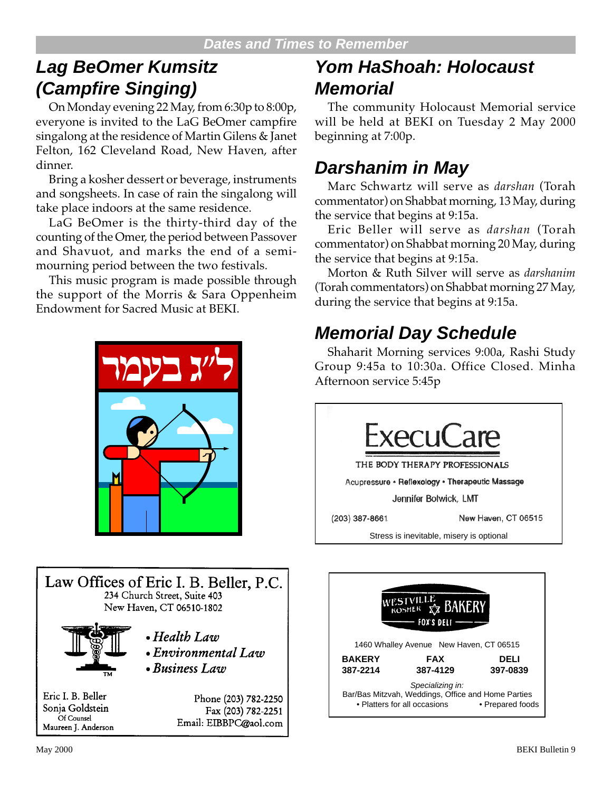## **Lag BeOmer Kumsitz (Campfire Singing)**

On Monday evening 22 May, from 6:30p to 8:00p, everyone is invited to the LaG BeOmer campfire singalong at the residence of Martin Gilens & Janet Felton, 162 Cleveland Road, New Haven, after dinner.

Bring a kosher dessert or beverage, instruments and songsheets. In case of rain the singalong will take place indoors at the same residence.

LaG BeOmer is the thirty-third day of the counting of the Omer, the period between Passover and Shavuot, and marks the end of a semimourning period between the two festivals.

This music program is made possible through the support of the Morris & Sara Oppenheim Endowment for Sacred Music at BEKI.





## **Yom HaShoah: Holocaust Memorial**

The community Holocaust Memorial service will be held at BEKI on Tuesday 2 May 2000 beginning at 7:00p.

## **Darshanim in May**

Marc Schwartz will serve as *darshan* (Torah commentator) on Shabbat morning, 13 May, during the service that begins at 9:15a.

Eric Beller will serve as *darshan* (Torah commentator) on Shabbat morning 20 May, during the service that begins at 9:15a.

Morton & Ruth Silver will serve as *darshanim* (Torah commentators) on Shabbat morning 27 May, during the service that begins at 9:15a.

## **Memorial Day Schedule**

Shaharit Morning services 9:00a, Rashi Study Group 9:45a to 10:30a. Office Closed. Minha Afternoon service 5:45p